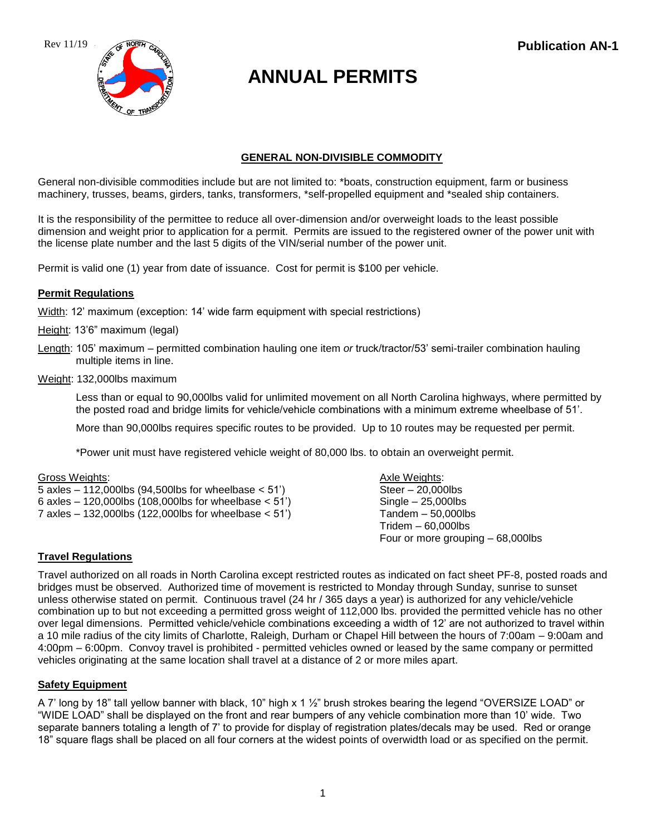Rev 11/19



# **ANNUAL PERMITS**

# **GENERAL NON-DIVISIBLE COMMODITY**

General non-divisible commodities include but are not limited to: \*boats, construction equipment, farm or business machinery, trusses, beams, girders, tanks, transformers, \*self-propelled equipment and \*sealed ship containers.

It is the responsibility of the permittee to reduce all over-dimension and/or overweight loads to the least possible dimension and weight prior to application for a permit. Permits are issued to the registered owner of the power unit with the license plate number and the last 5 digits of the VIN/serial number of the power unit.

Permit is valid one (1) year from date of issuance. Cost for permit is \$100 per vehicle.

# **Permit Regulations**

Width: 12' maximum (exception: 14' wide farm equipment with special restrictions)

- Height: 13'6" maximum (legal)
- Length: 105' maximum permitted combination hauling one item *or* truck/tractor/53' semi-trailer combination hauling multiple items in line.
- Weight: 132,000lbs maximum

Less than or equal to 90,000lbs valid for unlimited movement on all North Carolina highways, where permitted by the posted road and bridge limits for vehicle/vehicle combinations with a minimum extreme wheelbase of 51'.

More than 90,000lbs requires specific routes to be provided. Up to 10 routes may be requested per permit.

\*Power unit must have registered vehicle weight of 80,000 lbs. to obtain an overweight permit.

Gross Weights: Axle Weights: Axle Weights: Axle Weights: Axle Weights: Axle Weights:

 $5$  axles  $-112,000$ lbs (94,500lbs for wheelbase  $< 51'$ ) Steer  $-20,000$ lbs 6 axles  $-120,000$ lbs  $(108,000)$ lbs for wheelbase  $< 51'$ ) Single  $-25,000$ lbs 7 axles – 132,000lbs (122,000lbs for wheelbase < 51') Tandem – 50,000lbs

Tridem – 60,000lbs Four or more grouping – 68,000lbs

# **Travel Regulations**

Travel authorized on all roads in North Carolina except restricted routes as indicated on fact sheet PF-8, posted roads and bridges must be observed. Authorized time of movement is restricted to Monday through Sunday, sunrise to sunset unless otherwise stated on permit. Continuous travel (24 hr / 365 days a year) is authorized for any vehicle/vehicle combination up to but not exceeding a permitted gross weight of 112,000 lbs. provided the permitted vehicle has no other over legal dimensions. Permitted vehicle/vehicle combinations exceeding a width of 12' are not authorized to travel within a 10 mile radius of the city limits of Charlotte, Raleigh, Durham or Chapel Hill between the hours of 7:00am – 9:00am and 4:00pm – 6:00pm. Convoy travel is prohibited - permitted vehicles owned or leased by the same company or permitted vehicles originating at the same location shall travel at a distance of 2 or more miles apart.

# **Safety Equipment**

A 7' long by 18" tall yellow banner with black, 10" high x 1 ½" brush strokes bearing the legend "OVERSIZE LOAD" or "WIDE LOAD" shall be displayed on the front and rear bumpers of any vehicle combination more than 10' wide. Two separate banners totaling a length of 7' to provide for display of registration plates/decals may be used. Red or orange 18" square flags shall be placed on all four corners at the widest points of overwidth load or as specified on the permit.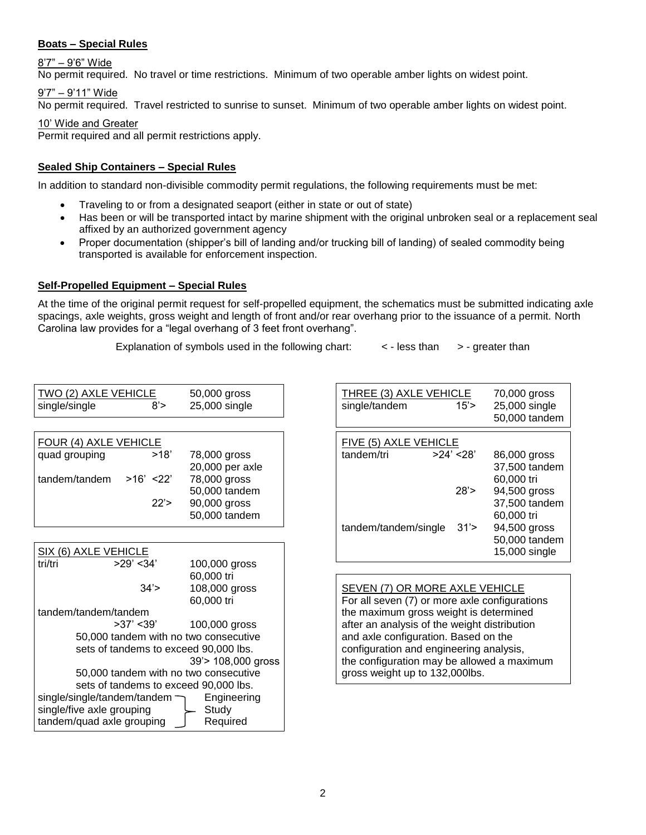# **Boats – Special Rules**

8'7" – 9'6" Wide

No permit required. No travel or time restrictions. Minimum of two operable amber lights on widest point.

### 9'7" – 9'11" Wide

No permit required. Travel restricted to sunrise to sunset. Minimum of two operable amber lights on widest point.

# 10' Wide and Greater

Permit required and all permit restrictions apply.

# **Sealed Ship Containers – Special Rules**

In addition to standard non-divisible commodity permit regulations, the following requirements must be met:

- Traveling to or from a designated seaport (either in state or out of state)
- Has been or will be transported intact by marine shipment with the original unbroken seal or a replacement seal affixed by an authorized government agency
- Proper documentation (shipper's bill of landing and/or trucking bill of landing) of sealed commodity being transported is available for enforcement inspection.

### **Self-Propelled Equipment – Special Rules**

At the time of the original permit request for self-propelled equipment, the schematics must be submitted indicating axle spacings, axle weights, gross weight and length of front and/or rear overhang prior to the issuance of a permit. North Carolina law provides for a "legal overhang of 3 feet front overhang".

Explanation of symbols used in the following chart:  $\leq$  - less than  $\geq$  - greater than

| TWO (2) AXLE VEHICLE<br>single/single<br>8'                                                                                                                                                                                                                | 50,000 gross<br>25,000 single                                                                     | THREE (3) AXLE VEHICLE<br>70,000 gross<br>25,000 single<br>single/tandem<br>15'<br>50,000 tande                                                                                                                                                                                                                                                     |  |  |
|------------------------------------------------------------------------------------------------------------------------------------------------------------------------------------------------------------------------------------------------------------|---------------------------------------------------------------------------------------------------|-----------------------------------------------------------------------------------------------------------------------------------------------------------------------------------------------------------------------------------------------------------------------------------------------------------------------------------------------------|--|--|
| <b>FOUR (4) AXLE VEHICLE</b><br>>18'<br>quad grouping<br>tandem/tandem<br>$>16'$ <22'<br>22'                                                                                                                                                               | 78,000 gross<br>20,000 per axle<br>78,000 gross<br>50,000 tandem<br>90,000 gross<br>50,000 tandem | FIVE (5) AXLE VEHICLE<br>>24' < 28'<br>tandem/tri<br>86,000 gross<br>37,500 tande<br>60,000 tri<br>28'<br>94,500 gross<br>37,500 tande<br>60,000 tri<br>94,500 gross<br>tandem/tandem/single<br>31'<br>50,000 tande                                                                                                                                 |  |  |
| SIX (6) AXLE VEHICLE<br>tri/tri<br>$>29'$ < 34'                                                                                                                                                                                                            | 100,000 gross                                                                                     | 15,000 single                                                                                                                                                                                                                                                                                                                                       |  |  |
| 60,000 tri<br>34'<br>108,000 gross<br>60,000 tri<br>tandem/tandem/tandem<br>$>37'$ < 39'<br>100,000 gross<br>50,000 tandem with no two consecutive<br>sets of tandems to exceed 90,000 lbs.<br>39'> 108,000 gross<br>50,000 tandem with no two consecutive |                                                                                                   | <b>SEVEN (7) OR MORE AXLE VEHICLE</b><br>For all seven (7) or more axle configurations<br>the maximum gross weight is determined<br>after an analysis of the weight distribution<br>and axle configuration. Based on the<br>configuration and engineering analysis,<br>the configuration may be allowed a maximum<br>gross weight up to 132,000lbs. |  |  |
| sets of tandems to exceed 90,000 lbs.<br>single/single/tandem/tandem $\neg$<br>single/five axle grouping<br>tandem/quad axle grouping                                                                                                                      | Engineering<br>Study<br>Required                                                                  |                                                                                                                                                                                                                                                                                                                                                     |  |  |

| =<br>=<br>8'>     | 50,000 gross<br>25,000 single   | THREE (3) AXLE VEHICLE<br>single/tandem | 15'        | 70,000 gross<br>25,000 single<br>50,000 tandem |  |
|-------------------|---------------------------------|-----------------------------------------|------------|------------------------------------------------|--|
|                   |                                 | FIVE (5) AXLE VEHICLE                   |            |                                                |  |
| <u>.E</u><br>>18' | 78,000 gross<br>20,000 per axle | tandem/tri                              | >24' < 28' | 86,000 gross<br>37,500 tandem                  |  |
| 22'               | 78,000 gross                    |                                         |            | 60,000 tri                                     |  |
|                   | 50,000 tandem                   |                                         | 28'        | 94,500 gross                                   |  |
| 22'>              | 90,000 gross<br>50,000 tandem   |                                         |            | 37,500 tandem<br>60,000 tri                    |  |
|                   |                                 | tandem/tandem/single                    | 31'        | 94,500 gross<br>50,000 tandem                  |  |
| ı,                | $100,000$ aross                 |                                         |            | 15,000 single                                  |  |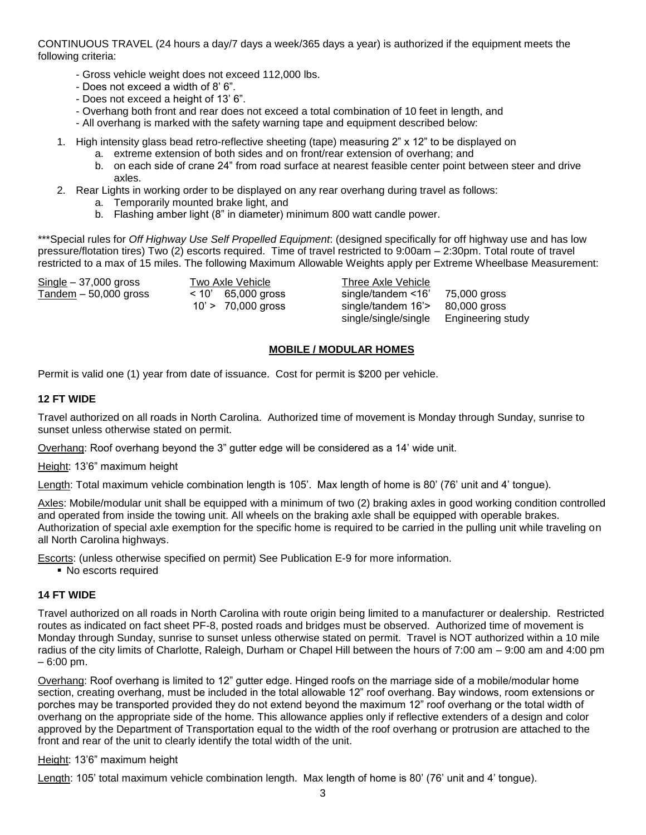CONTINUOUS TRAVEL (24 hours a day/7 days a week/365 days a year) is authorized if the equipment meets the following criteria:

- Gross vehicle weight does not exceed 112,000 lbs.
- Does not exceed a width of 8' 6".
- Does not exceed a height of 13' 6".
- Overhang both front and rear does not exceed a total combination of 10 feet in length, and
- All overhang is marked with the safety warning tape and equipment described below:
- 1. High intensity glass bead retro-reflective sheeting (tape) measuring 2" x 12" to be displayed on
	- a. extreme extension of both sides and on front/rear extension of overhang; and
	- b. on each side of crane 24" from road surface at nearest feasible center point between steer and drive axles.
- 2. Rear Lights in working order to be displayed on any rear overhang during travel as follows:
	- a. Temporarily mounted brake light, and
	- b. Flashing amber light (8" in diameter) minimum 800 watt candle power.

\*\*\*Special rules for *Off Highway Use Self Propelled Equipment*: (designed specifically for off highway use and has low pressure/flotation tires) Two (2) escorts required. Time of travel restricted to 9:00am – 2:30pm. Total route of travel restricted to a max of 15 miles. The following Maximum Allowable Weights apply per Extreme Wheelbase Measurement:

Single – 37,000 gross Two Axle Vehicle Three Axle Vehicle Tandem – 50,000 gross < 10' 65,000 gross single/tandem <16' 75,000 gross 10' > 70,000 gross single/tandem 16'> 80,000 gross single/single/single Engineering study

# **MOBILE / MODULAR HOMES**

Permit is valid one (1) year from date of issuance. Cost for permit is \$200 per vehicle.

#### **12 FT WIDE**

Travel authorized on all roads in North Carolina. Authorized time of movement is Monday through Sunday, sunrise to sunset unless otherwise stated on permit.

Overhang: Roof overhang beyond the 3" gutter edge will be considered as a 14' wide unit.

Height: 13'6" maximum height

Length: Total maximum vehicle combination length is 105'. Max length of home is 80' (76' unit and 4' tongue).

Axles: Mobile/modular unit shall be equipped with a minimum of two (2) braking axles in good working condition controlled and operated from inside the towing unit. All wheels on the braking axle shall be equipped with operable brakes. Authorization of special axle exemption for the specific home is required to be carried in the pulling unit while traveling on all North Carolina highways.

Escorts: (unless otherwise specified on permit) See Publication E-9 for more information.

■ No escorts required

# **14 FT WIDE**

Travel authorized on all roads in North Carolina with route origin being limited to a manufacturer or dealership. Restricted routes as indicated on fact sheet PF-8, posted roads and bridges must be observed. Authorized time of movement is Monday through Sunday, sunrise to sunset unless otherwise stated on permit. Travel is NOT authorized within a 10 mile radius of the city limits of Charlotte, Raleigh, Durham or Chapel Hill between the hours of 7:00 am – 9:00 am and 4:00 pm – 6:00 pm.

Overhang: Roof overhang is limited to 12" gutter edge. Hinged roofs on the marriage side of a mobile/modular home section, creating overhang, must be included in the total allowable 12" roof overhang. Bay windows, room extensions or porches may be transported provided they do not extend beyond the maximum 12" roof overhang or the total width of overhang on the appropriate side of the home. This allowance applies only if reflective extenders of a design and color approved by the Department of Transportation equal to the width of the roof overhang or protrusion are attached to the front and rear of the unit to clearly identify the total width of the unit.

#### Height: 13'6" maximum height

Length: 105' total maximum vehicle combination length. Max length of home is 80' (76' unit and 4' tongue).